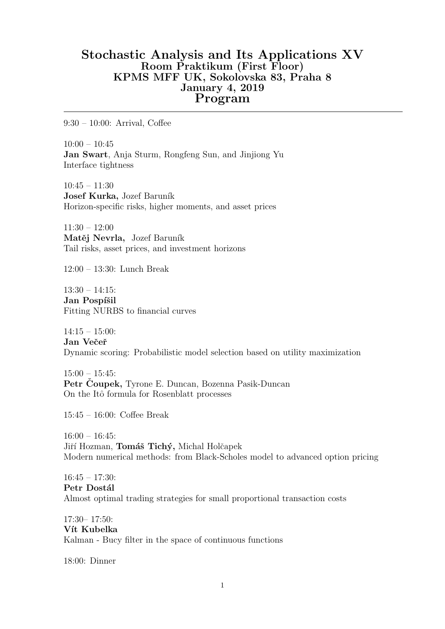# Stochastic Analysis and Its Applications XV Room Praktikum (First Floor) KPMS MFF UK, Sokolovska 83, Praha 8 January 4, 2019 Program

9:30 – 10:00: Arrival, Coffee

 $10:00 - 10:45$ Jan Swart, Anja Sturm, Rongfeng Sun, and Jinjiong Yu Interface tightness

 $10:45 - 11:30$ Josef Kurka, Jozef Baruník Horizon-specific risks, higher moments, and asset prices

 $11:30 - 12:00$ Matěj Nevrla, Jozef Baruník Tail risks, asset prices, and investment horizons

12:00 – 13:30: Lunch Break

13:30 – 14:15: Jan Pospíšil Fitting NURBS to financial curves

 $14:15 - 15:00$ : Jan Večeř Dynamic scoring: Probabilistic model selection based on utility maximization

 $15:00 - 15:45$ : Petr Čoupek, Tyrone E. Duncan, Bozenna Pasik-Duncan On the Itô formula for Rosenblatt processes

15:45 – 16:00: Coffee Break

 $16:00 - 16:45$ : Jiří Hozman, Tomáš Tichý, Michal Holčapek Modern numerical methods: from Black-Scholes model to advanced option pricing

16:45 – 17:30: Petr Dostál Almost optimal trading strategies for small proportional transaction costs

17:30– 17:50: Vít Kubelka Kalman - Bucy filter in the space of continuous functions

18:00: Dinner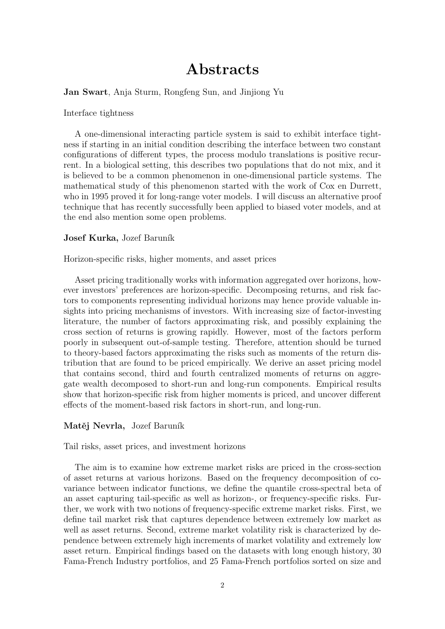# Abstracts

Jan Swart, Anja Sturm, Rongfeng Sun, and Jinjiong Yu

Interface tightness

A one-dimensional interacting particle system is said to exhibit interface tightness if starting in an initial condition describing the interface between two constant configurations of different types, the process modulo translations is positive recurrent. In a biological setting, this describes two populations that do not mix, and it is believed to be a common phenomenon in one-dimensional particle systems. The mathematical study of this phenomenon started with the work of Cox en Durrett, who in 1995 proved it for long-range voter models. I will discuss an alternative proof technique that has recently successfully been applied to biased voter models, and at the end also mention some open problems.

#### Josef Kurka, Jozef Baruník

Horizon-specific risks, higher moments, and asset prices

Asset pricing traditionally works with information aggregated over horizons, however investors' preferences are horizon-specific. Decomposing returns, and risk factors to components representing individual horizons may hence provide valuable insights into pricing mechanisms of investors. With increasing size of factor-investing literature, the number of factors approximating risk, and possibly explaining the cross section of returns is growing rapidly. However, most of the factors perform poorly in subsequent out-of-sample testing. Therefore, attention should be turned to theory-based factors approximating the risks such as moments of the return distribution that are found to be priced empirically. We derive an asset pricing model that contains second, third and fourth centralized moments of returns on aggregate wealth decomposed to short-run and long-run components. Empirical results show that horizon-specific risk from higher moments is priced, and uncover different effects of the moment-based risk factors in short-run, and long-run.

#### Matěj Nevrla, Jozef Baruník

Tail risks, asset prices, and investment horizons

The aim is to examine how extreme market risks are priced in the cross-section of asset returns at various horizons. Based on the frequency decomposition of covariance between indicator functions, we define the quantile cross-spectral beta of an asset capturing tail-specific as well as horizon-, or frequency-specific risks. Further, we work with two notions of frequency-specific extreme market risks. First, we define tail market risk that captures dependence between extremely low market as well as asset returns. Second, extreme market volatility risk is characterized by dependence between extremely high increments of market volatility and extremely low asset return. Empirical findings based on the datasets with long enough history, 30 Fama-French Industry portfolios, and 25 Fama-French portfolios sorted on size and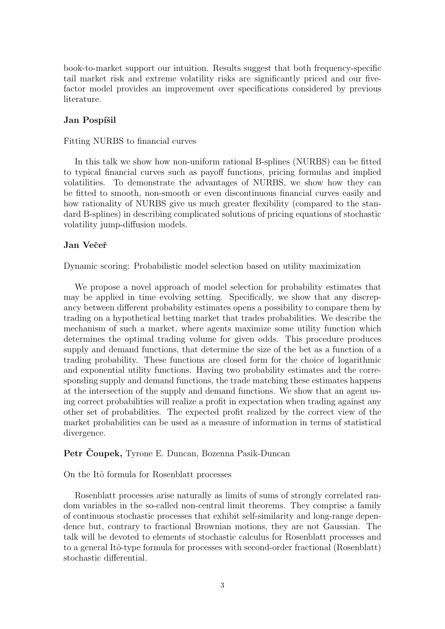book-to-market support our intuition. Results suggest that both frequency-specific tail market risk and extreme volatility risks are significantly priced and our fivefactor model provides an improvement over specifications considered by previous literature.

# Jan Pospíšil

#### Fitting NURBS to financial curves

In this talk we show how non-uniform rational B-splines (NURBS) can be fitted to typical financial curves such as payoff functions, pricing formulas and implied volatilities. To demonstrate the advantages of NURBS, we show how they can be fitted to smooth, non-smooth or even discontinuous financial curves easily and how rationality of NURBS give us much greater flexibility (compared to the standard B-splines) in describing complicated solutions of pricing equations of stochastic volatility jump-diffusion models.

# Jan Večeř

Dynamic scoring: Probabilistic model selection based on utility maximization

We propose a novel approach of model selection for probability estimates that may be applied in time evolving setting. Specifically, we show that any discrepancy between different probability estimates opens a possibility to compare them by trading on a hypothetical betting market that trades probabilities. We describe the mechanism of such a market, where agents maximize some utility function which determines the optimal trading volume for given odds. This procedure produces supply and demand functions, that determine the size of the bet as a function of a trading probability. These functions are closed form for the choice of logarithmic and exponential utility functions. Having two probability estimates and the corresponding supply and demand functions, the trade matching these estimates happens at the intersection of the supply and demand functions. We show that an agent using correct probabilities will realize a profit in expectation when trading against any other set of probabilities. The expected profit realized by the correct view of the market probabilities can be used as a measure of information in terms of statistical divergence.

## Petr Čoupek, Tyrone E. Duncan, Bozenna Pasik-Duncan

#### On the Itô formula for Rosenblatt processes

Rosenblatt processes arise naturally as limits of sums of strongly correlated random variables in the so-called non-central limit theorems. They comprise a family of continuous stochastic processes that exhibit self-similarity and long-range dependence but, contrary to fractional Brownian motions, they are not Gaussian. The talk will be devoted to elements of stochastic calculus for Rosenblatt processes and to a general Itô-type formula for processes with second-order fractional (Rosenblatt) stochastic differential.